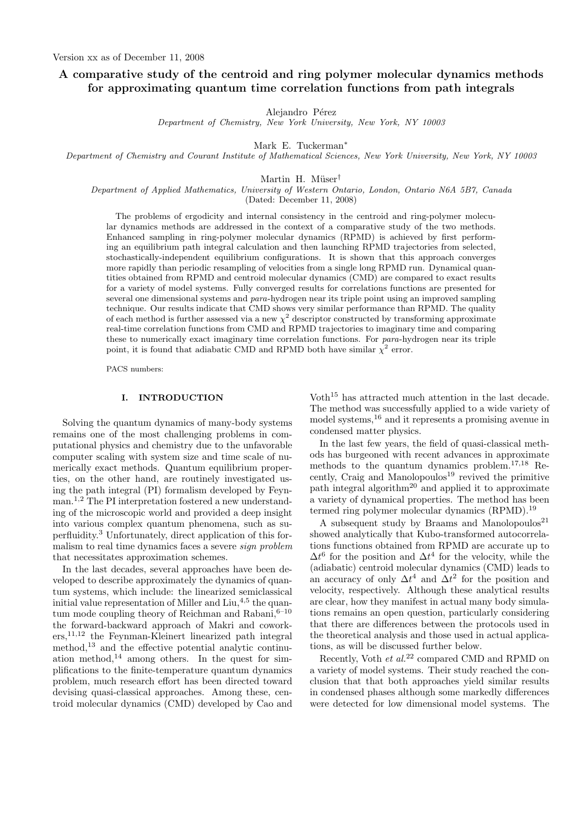# A comparative study of the centroid and ring polymer molecular dynamics methods for approximating quantum time correlation functions from path integrals

Alejandro Pérez

Department of Chemistry, New York University, New York, NY 10003

Mark E. Tuckerman<sup>∗</sup>

Department of Chemistry and Courant Institute of Mathematical Sciences, New York University, New York, NY 10003

Martin H. Müser<sup>†</sup>

Department of Applied Mathematics, University of Western Ontario, London, Ontario N6A 5B7, Canada (Dated: December 11, 2008)

The problems of ergodicity and internal consistency in the centroid and ring-polymer molecular dynamics methods are addressed in the context of a comparative study of the two methods. Enhanced sampling in ring-polymer molecular dynamics (RPMD) is achieved by first performing an equilibrium path integral calculation and then launching RPMD trajectories from selected, stochastically-independent equilibrium configurations. It is shown that this approach converges more rapidly than periodic resampling of velocities from a single long RPMD run. Dynamical quantities obtained from RPMD and centroid molecular dynamics (CMD) are compared to exact results for a variety of model systems. Fully converged results for correlations functions are presented for several one dimensional systems and *para*-hydrogen near its triple point using an improved sampling technique. Our results indicate that CMD shows very similar performance than RPMD. The quality of each method is further assessed via a new  $\chi^2$  descriptor constructed by transforming approximate real-time correlation functions from CMD and RPMD trajectories to imaginary time and comparing these to numerically exact imaginary time correlation functions. For para-hydrogen near its triple point, it is found that adiabatic CMD and RPMD both have similar  $\chi^2$  error.

PACS numbers:

# I. INTRODUCTION

Solving the quantum dynamics of many-body systems remains one of the most challenging problems in computational physics and chemistry due to the unfavorable computer scaling with system size and time scale of numerically exact methods. Quantum equilibrium properties, on the other hand, are routinely investigated using the path integral (PI) formalism developed by Feynman.1,2 The PI interpretation fostered a new understanding of the microscopic world and provided a deep insight into various complex quantum phenomena, such as superfluidity.<sup>3</sup> Unfortunately, direct application of this formalism to real time dynamics faces a severe sign problem that necessitates approximation schemes.

In the last decades, several approaches have been developed to describe approximately the dynamics of quantum systems, which include: the linearized semiclassical initial value representation of Miller and  $\text{Liu},^{4,5}$  the quantum mode coupling theory of Reichman and Rabani,  $6-10$ the forward-backward approach of Makri and coworkers,11,12 the Feynman-Kleinert linearized path integral method,<sup>13</sup> and the effective potential analytic continuation method,<sup>14</sup> among others. In the quest for simplifications to the finite-temperature quantum dynamics problem, much research effort has been directed toward devising quasi-classical approaches. Among these, centroid molecular dynamics (CMD) developed by Cao and Voth<sup>15</sup> has attracted much attention in the last decade. The method was successfully applied to a wide variety of model systems,<sup>16</sup> and it represents a promising avenue in condensed matter physics.

In the last few years, the field of quasi-classical methods has burgeoned with recent advances in approximate methods to the quantum dynamics problem.17,18 Recently, Craig and Manolopoulos<sup>19</sup> revived the primitive path integral algorithm<sup>20</sup> and applied it to approximate a variety of dynamical properties. The method has been termed ring polymer molecular dynamics (RPMD).<sup>19</sup>

A subsequent study by Braams and Manolopoulos<sup>21</sup> showed analytically that Kubo-transformed autocorrelations functions obtained from RPMD are accurate up to  $\Delta t^6$  for the position and  $\Delta t^4$  for the velocity, while the (adiabatic) centroid molecular dynamics (CMD) leads to an accuracy of only  $\Delta t^4$  and  $\Delta t^2$  for the position and velocity, respectively. Although these analytical results are clear, how they manifest in actual many body simulations remains an open question, particularly considering that there are differences between the protocols used in the theoretical analysis and those used in actual applications, as will be discussed further below.

Recently, Voth et al.<sup>22</sup> compared CMD and RPMD on a variety of model systems. Their study reached the conclusion that that both approaches yield similar results in condensed phases although some markedly differences were detected for low dimensional model systems. The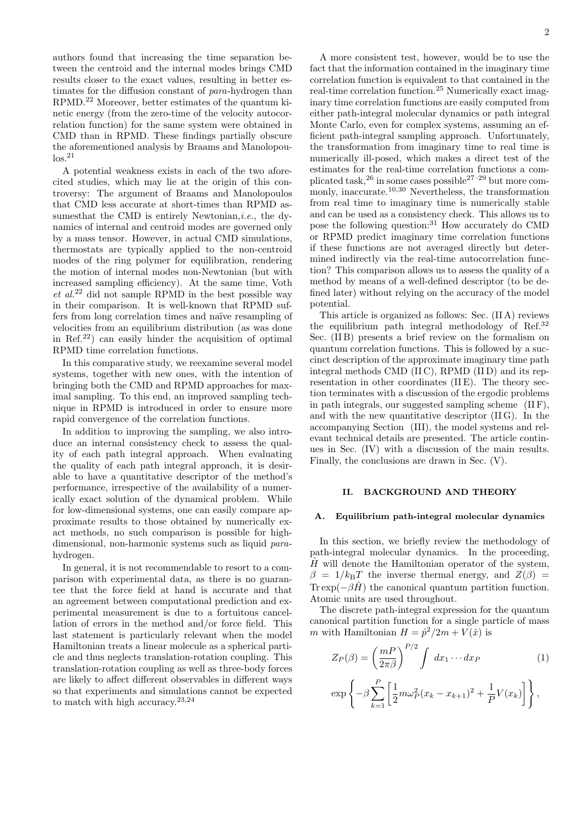authors found that increasing the time separation between the centroid and the internal modes brings CMD results closer to the exact values, resulting in better estimates for the diffusion constant of para-hydrogen than RPMD.<sup>22</sup> Moreover, better estimates of the quantum kinetic energy (from the zero-time of the velocity autocorrelation function) for the same system were obtained in CMD than in RPMD. These findings partially obscure the aforementioned analysis by Braams and Manolopou- $\log^{21}$ 

A potential weakness exists in each of the two aforecited studies, which may lie at the origin of this controversy: The argument of Braams and Manolopoulos that CMD less accurate at short-times than RPMD assumes that the CMD is entirely Newtonian, *i.e.*, the dynamics of internal and centroid modes are governed only by a mass tensor. However, in actual CMD simulations, thermostats are typically applied to the non-centroid modes of the ring polymer for equilibration, rendering the motion of internal modes non-Newtonian (but with increased sampling efficiency). At the same time, Voth  $et \ al.<sup>22</sup>$  did not sample RPMD in the best possible way in their comparison. It is well-known that RPMD suffers from long correlation times and naïve resampling of velocities from an equilibrium distribution (as was done in Ref.<sup>22</sup>) can easily hinder the acquisition of optimal RPMD time correlation functions.

In this comparative study, we reexamine several model systems, together with new ones, with the intention of bringing both the CMD and RPMD approaches for maximal sampling. To this end, an improved sampling technique in RPMD is introduced in order to ensure more rapid convergence of the correlation functions.

In addition to improving the sampling, we also introduce an internal consistency check to assess the quality of each path integral approach. When evaluating the quality of each path integral approach, it is desirable to have a quantitative descriptor of the method's performance, irrespective of the availability of a numerically exact solution of the dynamical problem. While for low-dimensional systems, one can easily compare approximate results to those obtained by numerically exact methods, no such comparison is possible for highdimensional, non-harmonic systems such as liquid parahydrogen.

In general, it is not recommendable to resort to a comparison with experimental data, as there is no guarantee that the force field at hand is accurate and that an agreement between computational prediction and experimental measurement is due to a fortuitous cancellation of errors in the method and/or force field. This last statement is particularly relevant when the model Hamiltonian treats a linear molecule as a spherical particle and thus neglects translation-rotation coupling. This translation-rotation coupling as well as three-body forces are likely to affect different observables in different ways so that experiments and simulations cannot be expected to match with high accuracy.23,24

A more consistent test, however, would be to use the fact that the information contained in the imaginary time correlation function is equivalent to that contained in the real-time correlation function.<sup>25</sup> Numerically exact imaginary time correlation functions are easily computed from either path-integral molecular dynamics or path integral Monte Carlo, even for complex systems, assuming an efficient path-integral sampling approach. Unfortunately, the transformation from imaginary time to real time is numerically ill-posed, which makes a direct test of the estimates for the real-time correlation functions a complicated task,<sup>26</sup> in some cases possible27–29 but more commonly, inaccurate.<sup>10,30</sup> Nevertheless, the transformation from real time to imaginary time is numerically stable and can be used as a consistency check. This allows us to pose the following question:<sup>31</sup> How accurately do CMD or RPMD predict imaginary time correlation functions if these functions are not averaged directly but determined indirectly via the real-time autocorrelation function? This comparison allows us to assess the quality of a method by means of a well-defined descriptor (to be defined later) without relying on the accuracy of the model potential.

This article is organized as follows: Sec. (II A) reviews the equilibrium path integral methodology of Ref.<sup>32</sup> Sec. (IIB) presents a brief review on the formalism on quantum correlation functions. This is followed by a succinct description of the approximate imaginary time path integral methods CMD (II C), RPMD (II D) and its representation in other coordinates (IIE). The theory section terminates with a discussion of the ergodic problems in path integrals, our suggested sampling scheme (II F), and with the new quantitative descriptor (II G). In the accompanying Section (III), the model systems and relevant technical details are presented. The article continues in Sec. (IV) with a discussion of the main results. Finally, the conclusions are drawn in Sec. (V).

### II. BACKGROUND AND THEORY

# A. Equilibrium path-integral molecular dynamics

In this section, we briefly review the methodology of path-integral molecular dynamics. In the proceeding,  $H$  will denote the Hamiltonian operator of the system,  $\beta = 1/k_BT$  the inverse thermal energy, and  $Z(\beta)$  $\text{Tr} \exp(-\beta \hat{H})$  the canonical quantum partition function. Atomic units are used throughout.

The discrete path-integral expression for the quantum canonical partition function for a single particle of mass m with Hamiltonian  $H = \hat{p}^2/2m + V(\hat{x})$  is

$$
Z_P(\beta) = \left(\frac{mP}{2\pi\beta}\right)^{P/2} \int dx_1 \cdots dx_P \tag{1}
$$

$$
\exp\left\{-\beta \sum_{k=1}^{P} \left[\frac{1}{2}m\omega_{P}^{2}(x_{k}-x_{k+1})^{2}+\frac{1}{P}V(x_{k})\right]\right\},\right\}
$$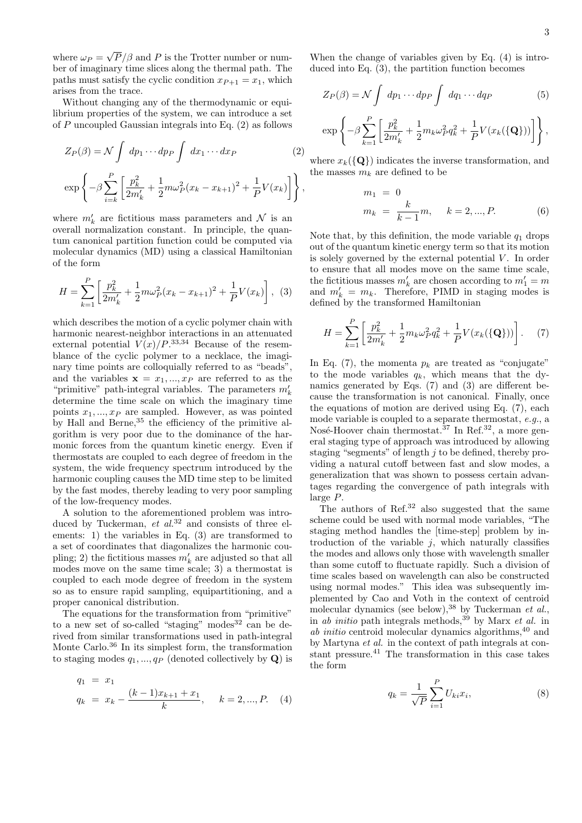where  $\omega_P =$ √  $P/\beta$  and P is the Trotter number or number of imaginary time slices along the thermal path. The paths must satisfy the cyclic condition  $x_{P+1} = x_1$ , which arises from the trace.

Without changing any of the thermodynamic or equilibrium properties of the system, we can introduce a set of P uncoupled Gaussian integrals into Eq. (2) as follows

$$
Z_P(\beta) = \mathcal{N} \int dp_1 \cdots dp_P \int dx_1 \cdots dx_P
$$
\n
$$
\exp\left\{-\beta \sum_{i=k}^P \left[\frac{p_k^2}{2m_k'} + \frac{1}{2}m\omega_P^2(x_k - x_{k+1})^2 + \frac{1}{P}V(x_k)\right]\right\},\,
$$
\n(2)

where  $m'_k$  are fictitious mass parameters and  $\mathcal N$  is an overall normalization constant. In principle, the quantum canonical partition function could be computed via molecular dynamics (MD) using a classical Hamiltonian of the form

$$
H = \sum_{k=1}^{P} \left[ \frac{p_k^2}{2m'_k} + \frac{1}{2} m \omega_P^2 (x_k - x_{k+1})^2 + \frac{1}{P} V(x_k) \right], \tag{3}
$$

which describes the motion of a cyclic polymer chain with harmonic nearest-neighbor interactions in an attenuated external potential  $V(x)/P^{.33,34}$  Because of the resemblance of the cyclic polymer to a necklace, the imaginary time points are colloquially referred to as "beads", and the variables  $x = x_1, ..., x_p$  are referred to as the "primitive" path-integral variables. The parameters  $m_k^\prime$ determine the time scale on which the imaginary time points  $x_1, ..., x_p$  are sampled. However, as was pointed by Hall and Berne,<sup>35</sup> the efficiency of the primitive algorithm is very poor due to the dominance of the harmonic forces from the quantum kinetic energy. Even if thermostats are coupled to each degree of freedom in the system, the wide frequency spectrum introduced by the harmonic coupling causes the MD time step to be limited by the fast modes, thereby leading to very poor sampling of the low-frequency modes.

A solution to the aforementioned problem was introduced by Tuckerman, et  $al^{32}$  and consists of three elements: 1) the variables in Eq. (3) are transformed to a set of coordinates that diagonalizes the harmonic coupling; 2) the fictitious masses  $m_k^\prime$  are adjusted so that all modes move on the same time scale; 3) a thermostat is coupled to each mode degree of freedom in the system so as to ensure rapid sampling, equipartitioning, and a proper canonical distribution.

The equations for the transformation from "primitive" to a new set of so-called "staging" modes $32$  can be derived from similar transformations used in path-integral Monte Carlo.<sup>36</sup> In its simplest form, the transformation to staging modes  $q_1, ..., q_P$  (denoted collectively by  $\mathbf{Q}$ ) is

$$
q_1 = x_1
$$
  
\n
$$
q_k = x_k - \frac{(k-1)x_{k+1} + x_1}{k}, \quad k = 2, ..., P. \quad (4)
$$

When the change of variables given by Eq. (4) is introduced into Eq. (3), the partition function becomes

$$
Z_P(\beta) = \mathcal{N} \int dp_1 \cdots dp_P \int dq_1 \cdots dq_P \tag{5}
$$

$$
\exp\left\{-\beta\sum_{k=1}^P\left[\frac{p_k^2}{2m_k'}+\frac{1}{2}m_k\omega_P^2q_k^2+\frac{1}{P}V(x_k(\{\mathbf{Q}\}))\right]\right\},
$$

where  $x_k(\{Q\})$  indicates the inverse transformation, and the masses  $m_k$  are defined to be

$$
m_1 = 0
$$
  
\n
$$
m_k = \frac{k}{k-1}m, \quad k = 2, ..., P.
$$
\n(6)

Note that, by this definition, the mode variable  $q_1$  drops out of the quantum kinetic energy term so that its motion is solely governed by the external potential  $V$ . In order to ensure that all modes move on the same time scale, the fictitious masses  $m'_k$  are chosen according to  $m'_1=m$ and  $m'_k = m_k$ . Therefore, PIMD in staging modes is defined by the transformed Hamiltonian

$$
H = \sum_{k=1}^{P} \left[ \frac{p_k^2}{2m'_k} + \frac{1}{2} m_k \omega_P^2 q_k^2 + \frac{1}{P} V(x_k(\{\mathbf{Q}\})) \right]. \tag{7}
$$

In Eq. (7), the momenta  $p_k$  are treated as "conjugate" to the mode variables  $q_k$ , which means that the dynamics generated by Eqs. (7) and (3) are different because the transformation is not canonical. Finally, once the equations of motion are derived using Eq. (7), each mode variable is coupled to a separate thermostat, e.g., a Nosé-Hoover chain thermostat.<sup>37</sup> In Ref.<sup>32</sup>, a more general staging type of approach was introduced by allowing staging "segments" of length  $j$  to be defined, thereby providing a natural cutoff between fast and slow modes, a generalization that was shown to possess certain advantages regarding the convergence of path integrals with large P.

The authors of Ref.<sup>32</sup> also suggested that the same scheme could be used with normal mode variables, "The staging method handles the [time-step] problem by introduction of the variable  $j$ , which naturally classifies the modes and allows only those with wavelength smaller than some cutoff to fluctuate rapidly. Such a division of time scales based on wavelength can also be constructed using normal modes." This idea was subsequently implemented by Cao and Voth in the context of centroid molecular dynamics (see below),<sup>38</sup> by Tuckerman et al., in *ab initio* path integrals methods,<sup>39</sup> by Marx *et al.* in ab initio centroid molecular dynamics algorithms,  $40$  and by Martyna et al. in the context of path integrals at constant pressure.<sup>41</sup> The transformation in this case takes the form

$$
q_k = \frac{1}{\sqrt{P}} \sum_{i=1}^{P} U_{ki} x_i,
$$
 (8)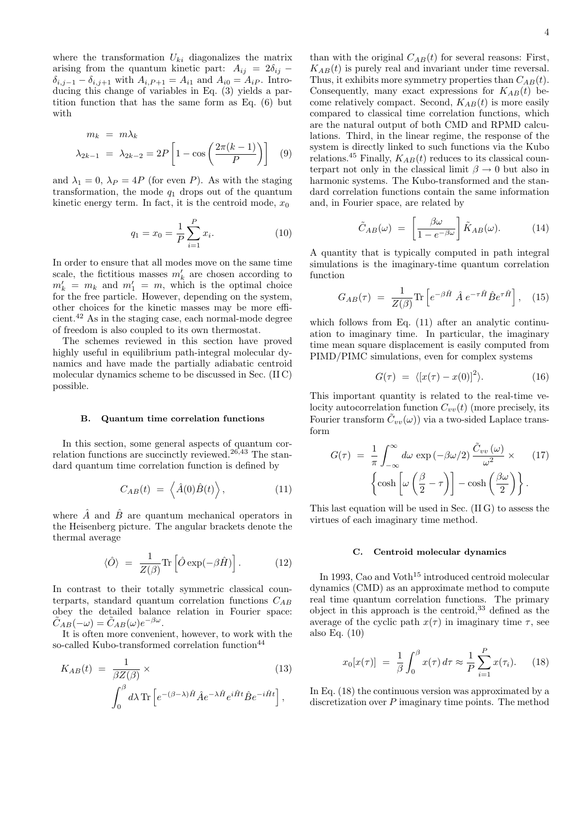where the transformation  $U_{ki}$  diagonalizes the matrix arising from the quantum kinetic part:  $A_{ij} = 2\delta_{ij}$  –  $\delta_{i,j-1} - \delta_{i,j+1}$  with  $A_{i,P+1} = A_{i1}$  and  $A_{i0} = A_{iP}$ . Introducing this change of variables in Eq. (3) yields a partition function that has the same form as Eq. (6) but with

$$
m_k = m\lambda_k
$$
  

$$
\lambda_{2k-1} = \lambda_{2k-2} = 2P\left[1 - \cos\left(\frac{2\pi(k-1)}{P}\right)\right]
$$
 (9)

and  $\lambda_1 = 0$ ,  $\lambda_P = 4P$  (for even P). As with the staging transformation, the mode  $q_1$  drops out of the quantum kinetic energy term. In fact, it is the centroid mode,  $x_0$ 

$$
q_1 = x_0 = \frac{1}{P} \sum_{i=1}^{P} x_i.
$$
 (10)

In order to ensure that all modes move on the same time scale, the fictitious masses  $m'_k$  are chosen according to  $m'_k = m_k$  and  $m'_1 = m$ , which is the optimal choice for the free particle. However, depending on the system, other choices for the kinetic masses may be more efficient.<sup>42</sup> As in the staging case, each normal-mode degree of freedom is also coupled to its own thermostat.

The schemes reviewed in this section have proved highly useful in equilibrium path-integral molecular dynamics and have made the partially adiabatic centroid molecular dynamics scheme to be discussed in Sec. (II C) possible.

#### B. Quantum time correlation functions

In this section, some general aspects of quantum correlation functions are succinctly reviewed.<sup>26,43</sup> The standard quantum time correlation function is defined by

$$
C_{AB}(t) = \left\langle \hat{A}(0)\hat{B}(t) \right\rangle, \tag{11}
$$

where  $\hat{A}$  and  $\hat{B}$  are quantum mechanical operators in the Heisenberg picture. The angular brackets denote the thermal average

$$
\langle \hat{O} \rangle = \frac{1}{Z(\beta)} \text{Tr} \left[ \hat{O} \exp(-\beta \hat{H}) \right]. \tag{12}
$$

In contrast to their totally symmetric classical counterparts, standard quantum correlation functions  $C_{AB}$ obey the detailed balance relation in Fourier space:  $\tilde{C}_{AB}(-\omega) = \tilde{C}_{AB}(\omega)e^{-\beta\omega}.$ 

It is often more convenient, however, to work with the so-called Kubo-transformed correlation function<sup>44</sup>

$$
K_{AB}(t) = \frac{1}{\beta Z(\beta)} \times
$$
\n
$$
\int_0^\beta d\lambda \, \text{Tr} \left[ e^{-(\beta - \lambda)\hat{H}} \hat{A} e^{-\lambda \hat{H}} e^{i\hat{H}t} \hat{B} e^{-i\hat{H}t} \right],
$$
\n(13)

than with the original  $C_{AB}(t)$  for several reasons: First,  $K_{AB}(t)$  is purely real and invariant under time reversal. Thus, it exhibits more symmetry properties than  $C_{AB}(t)$ . Consequently, many exact expressions for  $K_{AB}(t)$  become relatively compact. Second,  $K_{AB}(t)$  is more easily compared to classical time correlation functions, which are the natural output of both CMD and RPMD calculations. Third, in the linear regime, the response of the system is directly linked to such functions via the Kubo relations.<sup>45</sup> Finally,  $K_{AB}(t)$  reduces to its classical counterpart not only in the classical limit  $\beta \to 0$  but also in harmonic systems. The Kubo-transformed and the standard correlation functions contain the same information and, in Fourier space, are related by

$$
\tilde{C}_{AB}(\omega) = \left[\frac{\beta\omega}{1 - e^{-\beta\omega}}\right] \tilde{K}_{AB}(\omega). \tag{14}
$$

A quantity that is typically computed in path integral simulations is the imaginary-time quantum correlation function

$$
G_{AB}(\tau) = \frac{1}{Z(\beta)} \text{Tr} \left[ e^{-\beta \hat{H}} \hat{A} e^{-\tau \hat{H}} \hat{B} e^{\tau \hat{H}} \right], \quad (15)
$$

which follows from Eq.  $(11)$  after an analytic continuation to imaginary time. In particular, the imaginary time mean square displacement is easily computed from PIMD/PIMC simulations, even for complex systems

$$
G(\tau) = \langle [x(\tau) - x(0)]^2 \rangle.
$$
 (16)

This important quantity is related to the real-time velocity autocorrelation function  $C_{vv}(t)$  (more precisely, its Fourier transform  $\tilde{C}_{vv}(\omega)$  via a two-sided Laplace transform

$$
G(\tau) = \frac{1}{\pi} \int_{-\infty}^{\infty} d\omega \exp(-\beta \omega/2) \frac{\tilde{C}_{vv}(\omega)}{\omega^2} \times (17)
$$

$$
\left\{ \cosh \left[ \omega \left( \frac{\beta}{2} - \tau \right) \right] - \cosh \left( \frac{\beta \omega}{2} \right) \right\}.
$$

This last equation will be used in Sec. (II G) to assess the virtues of each imaginary time method.

#### C. Centroid molecular dynamics

In 1993, Cao and Voth<sup>15</sup> introduced centroid molecular dynamics (CMD) as an approximate method to compute real time quantum correlation functions. The primary object in this approach is the centroid,<sup>33</sup> defined as the average of the cyclic path  $x(\tau)$  in imaginary time  $\tau$ , see also Eq. (10)

$$
x_0[x(\tau)] = \frac{1}{\beta} \int_0^{\beta} x(\tau) d\tau \approx \frac{1}{P} \sum_{i=1}^P x(\tau_i). \tag{18}
$$

In Eq. (18) the continuous version was approximated by a discretization over  $P$  imaginary time points. The method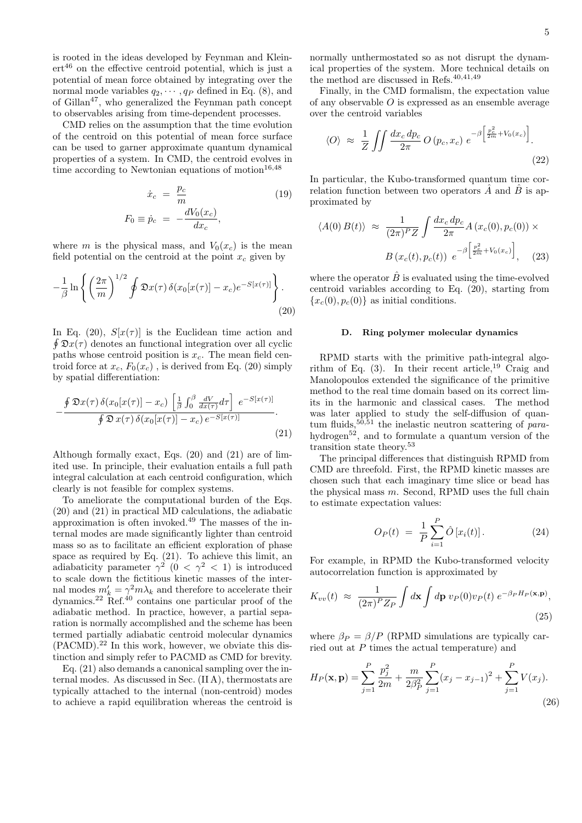is rooted in the ideas developed by Feynman and Klein $ert^{46}$  on the effective centroid potential, which is just a potential of mean force obtained by integrating over the normal mode variables  $q_2, \dots, q_p$  defined in Eq. (8), and of Gillan47, who generalized the Feynman path concept to observables arising from time-dependent processes.

CMD relies on the assumption that the time evolution of the centroid on this potential of mean force surface can be used to garner approximate quantum dynamical properties of a system. In CMD, the centroid evolves in time according to Newtonian equations of motion $16,48$ 

$$
\dot{x}_c = \frac{p_c}{m}
$$
\n
$$
F_0 \equiv \dot{p}_c = -\frac{dV_0(x_c)}{dx_c},
$$
\n(19)

where m is the physical mass, and  $V_0(x_c)$  is the mean field potential on the centroid at the point  $x_c$  given by

$$
-\frac{1}{\beta}\ln\left\{\left(\frac{2\pi}{m}\right)^{1/2}\oint\mathfrak{D}x(\tau)\,\delta(x_0[x(\tau)]-x_c)e^{-S[x(\tau)]}\right\}.\tag{20}
$$

In Eq. (20),  $S[x(\tau)]$  is the Euclidean time action and  $\oint \mathfrak{D}x(\tau)$  denotes an functional integration over all cyclic paths whose centroid position is  $x_c$ . The mean field centroid force at  $x_c$ ,  $F_0(x_c)$ , is derived from Eq. (20) simply by spatial differentiation:

$$
-\frac{\oint \mathfrak{D}x(\tau)\,\delta(x_0[x(\tau)]-x_c)\,\left[\frac{1}{\beta}\int_0^\beta \frac{dV}{dx(\tau)}d\tau\right]\,e^{-S[x(\tau)]}}{\oint \mathfrak{D}\,x(\tau)\,\delta(x_0[x(\tau)]-x_c)\,e^{-S[x(\tau)]}}.\tag{21}
$$

Although formally exact, Eqs. (20) and (21) are of limited use. In principle, their evaluation entails a full path integral calculation at each centroid configuration, which clearly is not feasible for complex systems.

To ameliorate the computational burden of the Eqs. (20) and (21) in practical MD calculations, the adiabatic approximation is often invoked.<sup>49</sup> The masses of the internal modes are made significantly lighter than centroid mass so as to facilitate an efficient exploration of phase space as required by Eq. (21). To achieve this limit, an adiabaticity parameter  $\gamma^2$  (0 <  $\gamma^2$  < 1) is introduced to scale down the fictitious kinetic masses of the internal modes  $m'_k = \gamma^2 m \lambda_k$  and therefore to accelerate their dynamics.<sup>22</sup> Ref.<sup>40</sup> contains one particular proof of the adiabatic method. In practice, however, a partial separation is normally accomplished and the scheme has been termed partially adiabatic centroid molecular dynamics  $(PACMD).<sup>22</sup>$  In this work, however, we obviate this distinction and simply refer to PACMD as CMD for brevity.

Eq. (21) also demands a canonical sampling over the internal modes. As discussed in Sec. (II A), thermostats are typically attached to the internal (non-centroid) modes to achieve a rapid equilibration whereas the centroid is normally unthermostated so as not disrupt the dynamical properties of the system. More technical details on the method are discussed in Refs. $40,41,49$ 

Finally, in the CMD formalism, the expectation value of any observable  $O$  is expressed as an ensemble average over the centroid variables

$$
\langle O \rangle \approx \frac{1}{Z} \iint \frac{dx_c \, dp_c}{2\pi} O\left(p_c, x_c\right) e^{-\beta \left[\frac{p_c^2}{2m} + V_0(x_c)\right]}.
$$
\n(22)

In particular, the Kubo-transformed quantum time correlation function between two operators  $\hat{A}$  and  $\hat{B}$  is approximated by

$$
\langle A(0) B(t) \rangle \approx \frac{1}{(2\pi)^P Z} \int \frac{dx_c dp_c}{2\pi} A(x_c(0), p_c(0)) \times
$$

$$
B(x_c(t), p_c(t)) e^{-\beta \left[\frac{p_c^2}{2\pi} + V_0(x_c)\right]}, \quad (23)
$$

where the operator  $\hat{B}$  is evaluated using the time-evolved centroid variables according to Eq. (20), starting from  ${x_c(0), p_c(0)}$  as initial conditions.

#### D. Ring polymer molecular dynamics

RPMD starts with the primitive path-integral algorithm of Eq.  $(3)$ . In their recent article,<sup>19</sup> Craig and Manolopoulos extended the significance of the primitive method to the real time domain based on its correct limits in the harmonic and classical cases. The method was later applied to study the self-diffusion of quantum fluids,  $50,51$  the inelastic neutron scattering of parahydrogen<sup>52</sup>, and to formulate a quantum version of the transition state theory.<sup>53</sup>

The principal differences that distinguish RPMD from CMD are threefold. First, the RPMD kinetic masses are chosen such that each imaginary time slice or bead has the physical mass  $m$ . Second, RPMD uses the full chain to estimate expectation values:

$$
O_P(t) = \frac{1}{P} \sum_{i=1}^{P} \hat{O}[x_i(t)].
$$
 (24)

For example, in RPMD the Kubo-transformed velocity autocorrelation function is approximated by

$$
K_{vv}(t) \approx \frac{1}{(2\pi)^P Z_P} \int d\mathbf{x} \int d\mathbf{p} \ v_P(0) v_P(t) \ e^{-\beta_P H_P(\mathbf{x}, \mathbf{p})},\tag{25}
$$

where  $\beta_P = \beta/P$  (RPMD simulations are typically carried out at P times the actual temperature) and

$$
H_P(\mathbf{x}, \mathbf{p}) = \sum_{j=1}^P \frac{p_j^2}{2m} + \frac{m}{2\beta_P^2} \sum_{j=1}^P (x_j - x_{j-1})^2 + \sum_{j=1}^P V(x_j).
$$
\n(26)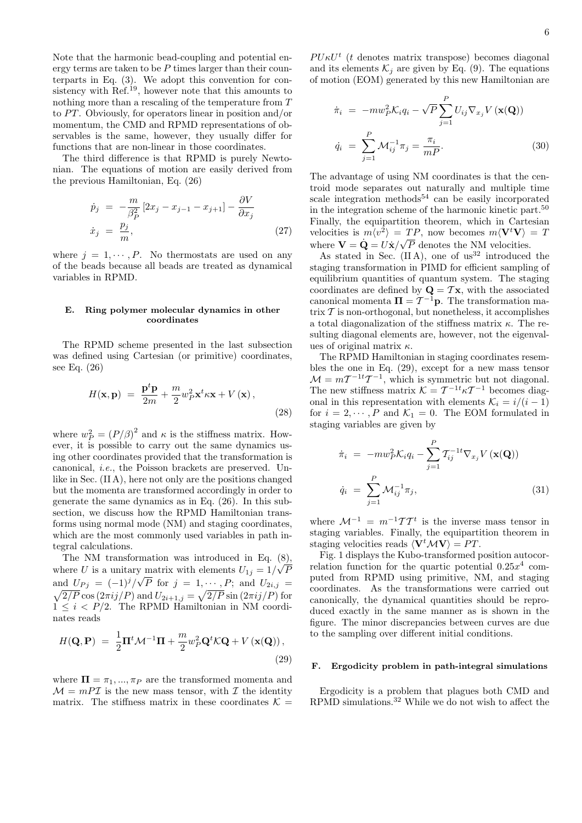Note that the harmonic bead-coupling and potential energy terms are taken to be  $P$  times larger than their counterparts in Eq. (3). We adopt this convention for consistency with  $\text{Ref.}^{19}$ , however note that this amounts to nothing more than a rescaling of the temperature from T to  $PT$ . Obviously, for operators linear in position and/or momentum, the CMD and RPMD representations of observables is the same, however, they usually differ for functions that are non-linear in those coordinates.

The third difference is that RPMD is purely Newtonian. The equations of motion are easily derived from the previous Hamiltonian, Eq. (26)

$$
\dot{p}_j = -\frac{m}{\beta_P^2} \left[ 2x_j - x_{j-1} - x_{j+1} \right] - \frac{\partial V}{\partial x_j}
$$
\n
$$
\dot{x}_j = \frac{p_j}{m},
$$
\n(27)

where  $j = 1, \dots, P$ . No thermostats are used on any of the beads because all beads are treated as dynamical variables in RPMD.

### E. Ring polymer molecular dynamics in other coordinates

The RPMD scheme presented in the last subsection was defined using Cartesian (or primitive) coordinates, see Eq. (26)

$$
H(\mathbf{x}, \mathbf{p}) = \frac{\mathbf{p}^t \mathbf{p}}{2m} + \frac{m}{2} w_P^2 \mathbf{x}^t \kappa \mathbf{x} + V(\mathbf{x}),
$$
\n(28)

where  $w_P^2 = (P/\beta)^2$  and  $\kappa$  is the stiffness matrix. However, it is possible to carry out the same dynamics using other coordinates provided that the transformation is canonical, i.e., the Poisson brackets are preserved. Unlike in Sec. (II A), here not only are the positions changed but the momenta are transformed accordingly in order to generate the same dynamics as in Eq. (26). In this subsection, we discuss how the RPMD Hamiltonian transforms using normal mode (NM) and staging coordinates, which are the most commonly used variables in path integral calculations.

The NM transformation was introduced in Eq.  $(8)$ , where U is a unitary matrix with elements  $U_{1j} = 1/\sqrt{P}$ and  $U_{Pj} = (-1)^j / \sqrt{P}$  for  $j = 1, \dots, P$ ; and  $U_{2i,j} =$  $\sqrt{2/P} \cos(2\pi i j/P)$  and  $U_{2i+1,j} = \sqrt{2/P} \sin(2\pi i j/P)$  for  $1 \leq i \leq P/2$ . The RPMD Hamiltonian in NM coordinates reads

$$
H(\mathbf{Q}, \mathbf{P}) = \frac{1}{2}\mathbf{\Pi}^t \mathcal{M}^{-1} \mathbf{\Pi} + \frac{m}{2} w_P^2 \mathbf{Q}^t \mathcal{K} \mathbf{Q} + V(\mathbf{x}(\mathbf{Q})),
$$
\n(29)

where  $\Pi = \pi_1, ..., \pi_P$  are the transformed momenta and  $\mathcal{M} = m\mathcal{P}\mathcal{I}$  is the new mass tensor, with  $\mathcal{I}$  the identity matrix. The stiffness matrix in these coordinates  $\mathcal{K} =$ 

 $PU\kappa U^t$  (t denotes matrix transpose) becomes diagonal and its elements  $\mathcal{K}_i$  are given by Eq. (9). The equations of motion (EOM) generated by this new Hamiltonian are

$$
\dot{\pi}_i = -mw_P^2 \mathcal{K}_i q_i - \sqrt{P} \sum_{j=1}^P U_{ij} \nabla_{x_j} V(\mathbf{x}(\mathbf{Q}))
$$
  
\n
$$
\dot{q}_i = \sum_{j=1}^P \mathcal{M}_{ij}^{-1} \pi_j = \frac{\pi_i}{mP}.
$$
\n(30)

The advantage of using NM coordinates is that the centroid mode separates out naturally and multiple time scale integration methods<sup>54</sup> can be easily incorporated in the integration scheme of the harmonic kinetic part.<sup>50</sup> Finally, the equipartition theorem, which in Cartesian velocities is  $m\langle v^2 \rangle = TP$ , now becomes  $m\langle V^t V \rangle = T$ where  $\mathbf{V} = \dot{\mathbf{Q}} = U\dot{\mathbf{x}}/\sqrt{P}$  denotes the NM velocities.

As stated in Sec.  $(II A)$ , one of us<sup>32</sup> introduced the staging transformation in PIMD for efficient sampling of equilibrium quantities of quantum system. The staging coordinates are defined by  $\mathbf{Q} = \mathcal{T}\mathbf{x}$ , with the associated canonical momenta  $\Pi = \mathcal{T}^{-1} \mathbf{p}$ . The transformation matrix  $\mathcal T$  is non-orthogonal, but nonetheless, it accomplishes a total diagonalization of the stiffness matrix  $\kappa$ . The resulting diagonal elements are, however, not the eigenvalues of original matrix  $\kappa$ .

The RPMD Hamiltonian in staging coordinates resembles the one in Eq. (29), except for a new mass tensor  $\mathcal{M} = mT^{-1}T^{-1}$ , which is symmetric but not diagonal. The new stiffness matrix  $\mathcal{K} = \mathcal{T}^{-1} \kappa \mathcal{T}^{-1}$  becomes diagonal in this representation with elements  $\mathcal{K}_i = i/(i-1)$ for  $i = 2, \dots, P$  and  $\mathcal{K}_1 = 0$ . The EOM formulated in staging variables are given by

$$
\dot{\pi}_i = -mw_P^2 \mathcal{K}_i q_i - \sum_{j=1}^P \mathcal{T}_{ij}^{-1} \nabla_{x_j} V(\mathbf{x}(\mathbf{Q}))
$$
  
\n
$$
\dot{q}_i = \sum_{j=1}^P \mathcal{M}_{ij}^{-1} \pi_j,
$$
\n(31)

where  $\mathcal{M}^{-1} = m^{-1} \mathcal{T} \mathcal{T}^t$  is the inverse mass tensor in staging variables. Finally, the equipartition theorem in staging velocities reads  $\langle V^t \mathcal{M} V \rangle = PT$ .

Fig. 1 displays the Kubo-transformed position autocorrelation function for the quartic potential  $0.25x^4$  computed from RPMD using primitive, NM, and staging coordinates. As the transformations were carried out canonically, the dynamical quantities should be reproduced exactly in the same manner as is shown in the figure. The minor discrepancies between curves are due to the sampling over different initial conditions.

# F. Ergodicity problem in path-integral simulations

Ergodicity is a problem that plagues both CMD and RPMD simulations.<sup>32</sup> While we do not wish to affect the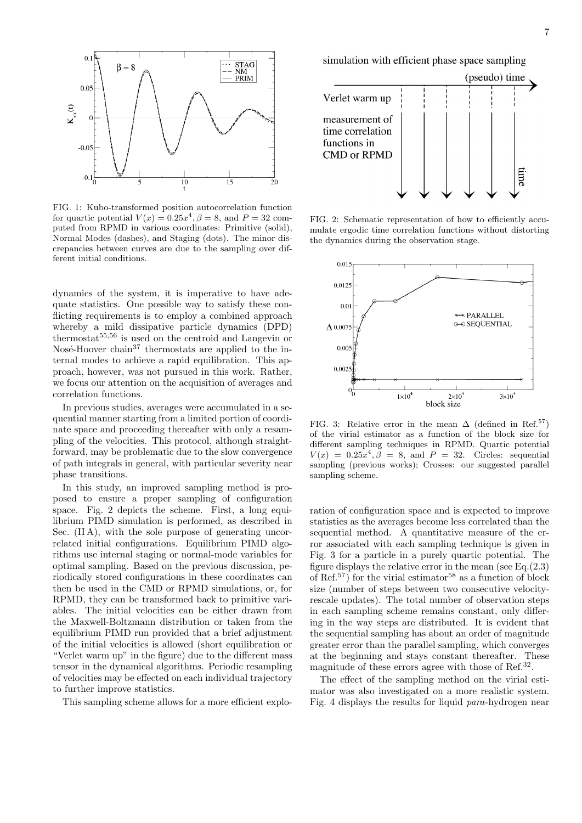

FIG. 1: Kubo-transformed position autocorrelation function for quartic potential  $V(x) = 0.25x^4$ ,  $\beta = 8$ , and  $P = 32$  computed from RPMD in various coordinates: Primitive (solid), Normal Modes (dashes), and Staging (dots). The minor discrepancies between curves are due to the sampling over different initial conditions.

dynamics of the system, it is imperative to have adequate statistics. One possible way to satisfy these conflicting requirements is to employ a combined approach whereby a mild dissipative particle dynamics (DPD) thermostat $55,56$  is used on the centroid and Langevin or Nosé-Hoover chain<sup>37</sup> thermostats are applied to the internal modes to achieve a rapid equilibration. This approach, however, was not pursued in this work. Rather, we focus our attention on the acquisition of averages and correlation functions.

In previous studies, averages were accumulated in a sequential manner starting from a limited portion of coordinate space and proceeding thereafter with only a resampling of the velocities. This protocol, although straightforward, may be problematic due to the slow convergence of path integrals in general, with particular severity near phase transitions.

In this study, an improved sampling method is proposed to ensure a proper sampling of configuration space. Fig. 2 depicts the scheme. First, a long equilibrium PIMD simulation is performed, as described in Sec. (IIA), with the sole purpose of generating uncorrelated initial configurations. Equilibrium PIMD algorithms use internal staging or normal-mode variables for optimal sampling. Based on the previous discussion, periodically stored configurations in these coordinates can then be used in the CMD or RPMD simulations, or, for RPMD, they can be transformed back to primitive variables. The initial velocities can be either drawn from the Maxwell-Boltzmann distribution or taken from the equilibrium PIMD run provided that a brief adjustment of the initial velocities is allowed (short equilibration or "Verlet warm up" in the figure) due to the different mass tensor in the dynamical algorithms. Periodic resampling of velocities may be effected on each individual trajectory to further improve statistics.

This sampling scheme allows for a more efficient explo-

simulation with efficient phase space sampling



FIG. 2: Schematic representation of how to efficiently accumulate ergodic time correlation functions without distorting the dynamics during the observation stage.



FIG. 3: Relative error in the mean  $\Delta$  (defined in Ref.<sup>57</sup>) of the virial estimator as a function of the block size for different sampling techniques in RPMD. Quartic potential  $V(x) = 0.25x^4, \beta = 8$ , and  $P = 32$ . Circles: sequential sampling (previous works); Crosses: our suggested parallel sampling scheme.

ration of configuration space and is expected to improve statistics as the averages become less correlated than the sequential method. A quantitative measure of the error associated with each sampling technique is given in Fig. 3 for a particle in a purely quartic potential. The figure displays the relative error in the mean (see Eq.(2.3) of Ref.<sup>57</sup>) for the virial estimator<sup>58</sup> as a function of block size (number of steps between two consecutive velocityrescale updates). The total number of observation steps in each sampling scheme remains constant, only differing in the way steps are distributed. It is evident that the sequential sampling has about an order of magnitude greater error than the parallel sampling, which converges at the beginning and stays constant thereafter. These magnitude of these errors agree with those of Ref.<sup>32</sup>.

The effect of the sampling method on the virial estimator was also investigated on a more realistic system. Fig. 4 displays the results for liquid para-hydrogen near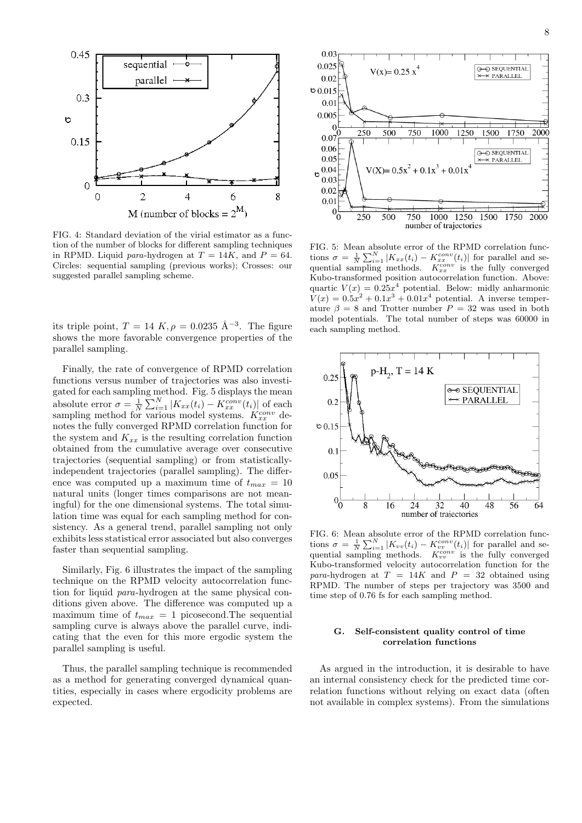

FIG. 4: Standard deviation of the virial estimator as a function of the number of blocks for different sampling techniques in RPMD. Liquid para-hydrogen at  $T = 14K$ , and  $P = 64$ . Circles: sequential sampling (previous works); Crosses: our suggested parallel sampling scheme.

its triple point,  $T = 14 K$ ,  $\rho = 0.0235 \text{ Å}^{-3}$ . The figure shows the more favorable convergence properties of the parallel sampling.

Finally, the rate of convergence of RPMD correlation functions versus number of trajectories was also investigated for each sampling method. Fig. 5 displays the mean absolute error  $\sigma = \frac{1}{N} \sum_{i=1}^{N} |K_{xx}(t_i) - K_{xx}^{conv}(t_i)|$  of each sampling method for various model systems.  $K_{xx}^{conv}$  denotes the fully converged RPMD correlation function for the system and  $K_{xx}$  is the resulting correlation function obtained from the cumulative average over consecutive trajectories (sequential sampling) or from statisticallyindependent trajectories (parallel sampling). The difference was computed up a maximum time of  $t_{max} = 10$ natural units (longer times comparisons are not meaningful) for the one dimensional systems. The total simulation time was equal for each sampling method for consistency. As a general trend, parallel sampling not only exhibits less statistical error associated but also converges faster than sequential sampling.

Similarly, Fig. 6 illustrates the impact of the sampling technique on the RPMD velocity autocorrelation function for liquid para-hydrogen at the same physical conditions given above. The difference was computed up a maximum time of  $t_{max} = 1$  picosecond. The sequential sampling curve is always above the parallel curve, indicating that the even for this more ergodic system the parallel sampling is useful.

Thus, the parallel sampling technique is recommended as a method for generating converged dynamical quantities, especially in cases where ergodicity problems are expected.



FIG. 5: Mean absolute error of the RPMD correlation functions  $\sigma = \frac{1}{N} \sum_{i=1}^{N} |K_{xx}(t_i) - K_{xx}^{conv}(t_i)|$  for parallel and sequential sampling methods.  $K_{xx}^{conv}$  is the fully converged Kubo-transformed position autocorrelation function. Above: quartic  $V(x) = 0.25x^4$  potential. Below: midly anharmonic  $V(x) = 0.5x^2 + 0.1x^3 + 0.01x^4$  potential. A inverse temperature  $\beta = 8$  and Trotter number  $P = 32$  was used in both model potentials. The total number of steps was 60000 in each sampling method.



FIG. 6: Mean absolute error of the RPMD correlation functions  $\sigma = \frac{1}{N} \sum_{i=1}^{N} |K_{vv}(t_i) - K_{vv}^{conv}(t_i)|$  for parallel and sequential sampling methods.  $K_{vv}^{conv}$  is the fully converged Kubo-transformed velocity autocorrelation function for the para-hydrogen at  $T = 14K$  and  $P = 32$  obtained using RPMD. The number of steps per trajectory was 3500 and time step of 0.76 fs for each sampling method.

# G. Self-consistent quality control of time correlation functions

As argued in the introduction, it is desirable to have an internal consistency check for the predicted time correlation functions without relying on exact data (often not available in complex systems). From the simulations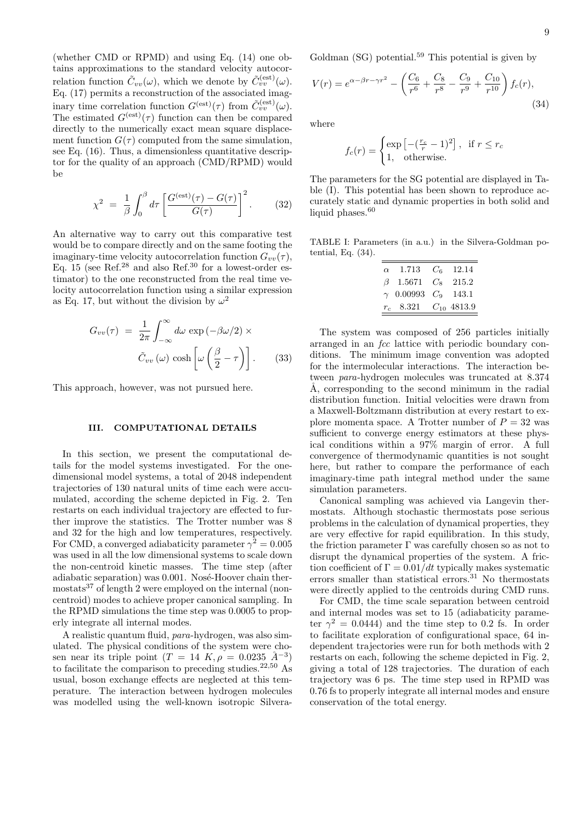(whether CMD or RPMD) and using Eq. (14) one obtains approximations to the standard velocity autocorrelation function  $\tilde{C}_{vv}(\omega)$ , which we denote by  $\tilde{C}_{vv}^{(est)}(\omega)$ . Eq. (17) permits a reconstruction of the associated imaginary time correlation function  $G^{(est)}(\tau)$  from  $\tilde{C}_{vv}^{(est)}(\omega)$ . The estimated  $G^{(est)}(\tau)$  function can then be compared directly to the numerically exact mean square displacement function  $G(\tau)$  computed from the same simulation, see Eq. (16). Thus, a dimensionless quantitative descriptor for the quality of an approach (CMD/RPMD) would be

$$
\chi^2 = \frac{1}{\beta} \int_0^\beta d\tau \left[ \frac{G^{(\text{est})}(\tau) - G(\tau)}{G(\tau)} \right]^2.
$$
 (32)

An alternative way to carry out this comparative test would be to compare directly and on the same footing the imaginary-time velocity autocorrelation function  $G_{vv}(\tau)$ , Eq. 15 (see Ref.<sup>28</sup> and also Ref.<sup>30</sup> for a lowest-order estimator) to the one reconstructed from the real time velocity autocorrelation function using a similar expression as Eq. 17, but without the division by  $\omega^2$ 

$$
G_{vv}(\tau) = \frac{1}{2\pi} \int_{-\infty}^{\infty} d\omega \, \exp\left(-\beta \omega/2\right) \times
$$

$$
\tilde{C}_{vv}(\omega) \cosh\left[\omega \left(\frac{\beta}{2} - \tau\right)\right]. \tag{33}
$$

This approach, however, was not pursued here.

### III. COMPUTATIONAL DETAILS

In this section, we present the computational details for the model systems investigated. For the onedimensional model systems, a total of 2048 independent trajectories of 130 natural units of time each were accumulated, according the scheme depicted in Fig. 2. Ten restarts on each individual trajectory are effected to further improve the statistics. The Trotter number was 8 and 32 for the high and low temperatures, respectively. For CMD, a converged adiabaticity parameter  $\gamma^2 = 0.005$ was used in all the low dimensional systems to scale down the non-centroid kinetic masses. The time step (after adiabatic separation) was  $0.001$ . Nosé-Hoover chain thermostats<sup>37</sup> of length 2 were employed on the internal (noncentroid) modes to achieve proper canonical sampling. In the RPMD simulations the time step was 0.0005 to properly integrate all internal modes.

A realistic quantum fluid, para-hydrogen, was also simulated. The physical conditions of the system were chosen near its triple point  $(T = 14 K, \rho = 0.0235 \text{ Å}^{-3})$ to facilitate the comparison to preceding studies.<sup>22,50</sup> As usual, boson exchange effects are neglected at this temperature. The interaction between hydrogen molecules was modelled using the well-known isotropic SilveraGoldman  $(SG)$  potential.<sup>59</sup> This potential is given by

$$
V(r) = e^{\alpha - \beta r - \gamma r^2} - \left(\frac{C_6}{r^6} + \frac{C_8}{r^8} - \frac{C_9}{r^9} + \frac{C_{10}}{r^{10}}\right) f_c(r),\tag{34}
$$

where

$$
f_c(r) = \begin{cases} \exp\left[-(\frac{r_c}{r} - 1)^2\right], & \text{if } r \le r_c\\ 1, & \text{otherwise.} \end{cases}
$$

The parameters for the SG potential are displayed in Table (I). This potential has been shown to reproduce accurately static and dynamic properties in both solid and liquid phases. $60$ 

TABLE I: Parameters (in a.u.) in the Silvera-Goldman potential, Eq. (34).

| $\alpha$ 1.713               | $C_6$ 12.14 |
|------------------------------|-------------|
| $\beta$ 1.5671 $C_8$ 215.2   |             |
| $\gamma$ 0.00993 $C_9$ 143.1 |             |
| $r_c$ 8.321 $C_{10}$ 4813.9  |             |

The system was composed of 256 particles initially arranged in an *fcc* lattice with periodic boundary conditions. The minimum image convention was adopted for the intermolecular interactions. The interaction between para-hydrogen molecules was truncated at 8.374 A, corresponding to the second minimum in the radial distribution function. Initial velocities were drawn from a Maxwell-Boltzmann distribution at every restart to explore momenta space. A Trotter number of  $P = 32$  was sufficient to converge energy estimators at these physical conditions within a 97% margin of error. A full convergence of thermodynamic quantities is not sought here, but rather to compare the performance of each imaginary-time path integral method under the same simulation parameters.

Canonical sampling was achieved via Langevin thermostats. Although stochastic thermostats pose serious problems in the calculation of dynamical properties, they are very effective for rapid equilibration. In this study, the friction parameter  $\Gamma$  was carefully chosen so as not to disrupt the dynamical properties of the system. A friction coefficient of  $\Gamma = 0.01/dt$  typically makes systematic errors smaller than statistical errors. $31$  No thermostats were directly applied to the centroids during CMD runs.

For CMD, the time scale separation between centroid and internal modes was set to 15 (adiabaticity parameter  $\gamma^2 = 0.0444$ ) and the time step to 0.2 fs. In order to facilitate exploration of configurational space, 64 independent trajectories were run for both methods with 2 restarts on each, following the scheme depicted in Fig. 2, giving a total of 128 trajectories. The duration of each trajectory was 6 ps. The time step used in RPMD was 0.76 fs to properly integrate all internal modes and ensure conservation of the total energy.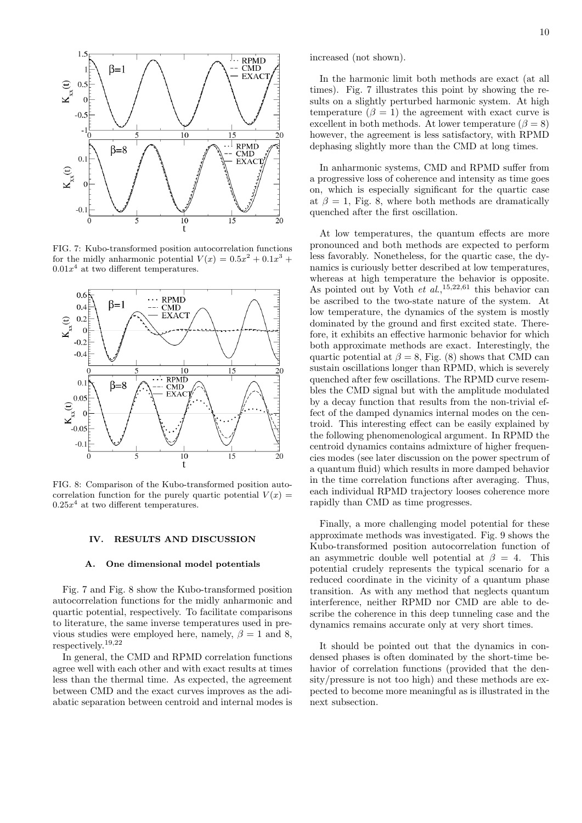

FIG. 7: Kubo-transformed position autocorrelation functions for the midly anharmonic potential  $V(x) = 0.5x^2 + 0.1x^3 +$  $0.01x<sup>4</sup>$  at two different temperatures.



FIG. 8: Comparison of the Kubo-transformed position autocorrelation function for the purely quartic potential  $V(x) =$  $0.25x^4$  at two different temperatures.

# IV. RESULTS AND DISCUSSION

#### A. One dimensional model potentials

Fig. 7 and Fig. 8 show the Kubo-transformed position autocorrelation functions for the midly anharmonic and quartic potential, respectively. To facilitate comparisons to literature, the same inverse temperatures used in previous studies were employed here, namely,  $\beta = 1$  and 8, respectively.19,22

In general, the CMD and RPMD correlation functions agree well with each other and with exact results at times less than the thermal time. As expected, the agreement between CMD and the exact curves improves as the adiabatic separation between centroid and internal modes is increased (not shown).

In the harmonic limit both methods are exact (at all times). Fig. 7 illustrates this point by showing the results on a slightly perturbed harmonic system. At high temperature  $(\beta = 1)$  the agreement with exact curve is excellent in both methods. At lower temperature ( $\beta = 8$ ) however, the agreement is less satisfactory, with RPMD dephasing slightly more than the CMD at long times.

In anharmonic systems, CMD and RPMD suffer from a progressive loss of coherence and intensity as time goes on, which is especially significant for the quartic case at  $\beta = 1$ , Fig. 8, where both methods are dramatically quenched after the first oscillation.

At low temperatures, the quantum effects are more pronounced and both methods are expected to perform less favorably. Nonetheless, for the quartic case, the dynamics is curiously better described at low temperatures, whereas at high temperature the behavior is opposite. As pointed out by Voth  $et \ al.,<sup>15,22,61</sup>$  this behavior can be ascribed to the two-state nature of the system. At low temperature, the dynamics of the system is mostly dominated by the ground and first excited state. Therefore, it exhibits an effective harmonic behavior for which both approximate methods are exact. Interestingly, the quartic potential at  $\beta = 8$ , Fig. (8) shows that CMD can sustain oscillations longer than RPMD, which is severely quenched after few oscillations. The RPMD curve resembles the CMD signal but with the amplitude modulated by a decay function that results from the non-trivial effect of the damped dynamics internal modes on the centroid. This interesting effect can be easily explained by the following phenomenological argument. In RPMD the centroid dynamics contains admixture of higher frequencies modes (see later discussion on the power spectrum of a quantum fluid) which results in more damped behavior in the time correlation functions after averaging. Thus, each individual RPMD trajectory looses coherence more rapidly than CMD as time progresses.

Finally, a more challenging model potential for these approximate methods was investigated. Fig. 9 shows the Kubo-transformed position autocorrelation function of an asymmetric double well potential at  $\beta = 4$ . This potential crudely represents the typical scenario for a reduced coordinate in the vicinity of a quantum phase transition. As with any method that neglects quantum interference, neither RPMD nor CMD are able to describe the coherence in this deep tunneling case and the dynamics remains accurate only at very short times.

It should be pointed out that the dynamics in condensed phases is often dominated by the short-time behavior of correlation functions (provided that the density/pressure is not too high) and these methods are expected to become more meaningful as is illustrated in the next subsection.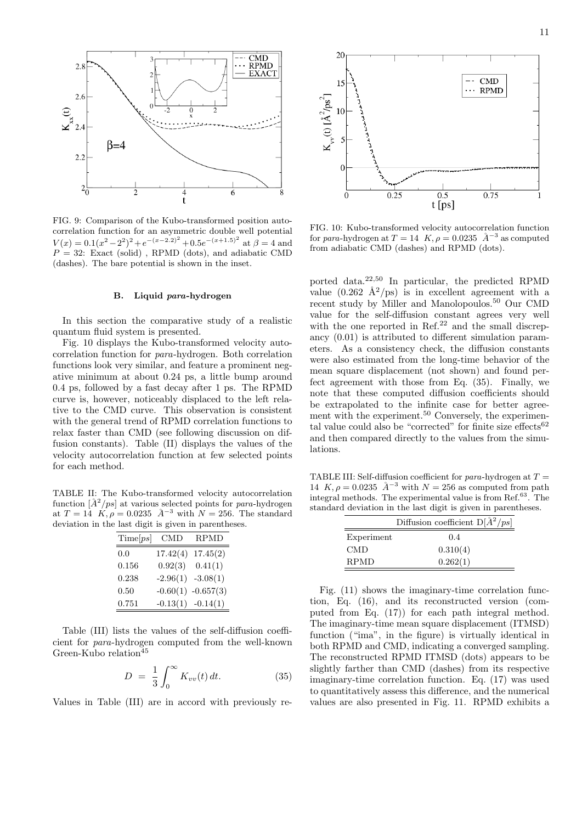

FIG. 9: Comparison of the Kubo-transformed position autocorrelation function for an asymmetric double well potential  $V(x) = 0.1(x^2 - 2^2)^2 + e^{-(x-2.2)^2} + 0.5e^{-(x+1.5)^2}$  at  $\beta = 4$  and  $P = 32$ : Exact (solid), RPMD (dots), and adiabatic CMD (dashes). The bare potential is shown in the inset.

# B. Liquid para-hydrogen

In this section the comparative study of a realistic quantum fluid system is presented.

Fig. 10 displays the Kubo-transformed velocity autocorrelation function for para-hydrogen. Both correlation functions look very similar, and feature a prominent negative minimum at about 0.24 ps, a little bump around 0.4 ps, followed by a fast decay after 1 ps. The RPMD curve is, however, noticeably displaced to the left relative to the CMD curve. This observation is consistent with the general trend of RPMD correlation functions to relax faster than CMD (see following discussion on diffusion constants). Table (II) displays the values of the velocity autocorrelation function at few selected points for each method.

TABLE II: The Kubo-transformed velocity autocorrelation function  $\left[\AA^2/ps\right]$  at various selected points for para-hydrogen at  $T = 14$  K,  $\rho = 0.0235$   $A^{-3}$  with  $N = 256$ . The standard deviation in the last digit is given in parentheses.

| Time[ps] | <b>CMD</b>            | <b>RPMD</b>            |
|----------|-----------------------|------------------------|
| 0.0      | $17.42(4)$ $17.45(2)$ |                        |
| 0.156    | $0.92(3)$ $0.41(1)$   |                        |
| 0.238    | $-2.96(1)$ $-3.08(1)$ |                        |
| 0.50     |                       | $-0.60(1)$ $-0.657(3)$ |
| 0.751    | $-0.13(1)$ $-0.14(1)$ |                        |

Table (III) lists the values of the self-diffusion coefficient for para-hydrogen computed from the well-known Green-Kubo relation<sup>45</sup>

$$
D = \frac{1}{3} \int_0^\infty K_{vv}(t) dt.
$$
 (35)

Values in Table (III) are in accord with previously re-



FIG. 10: Kubo-transformed velocity autocorrelation function for para-hydrogen at  $T = 14$  K,  $\rho = 0.0235$   $\AA^{-3}$  as computed from adiabatic CMD (dashes) and RPMD (dots).

ported data.22,50 In particular, the predicted RPMD value  $(0.262 \text{ Å}^2/\text{ps})$  is in excellent agreement with a recent study by Miller and Manolopoulos.<sup>50</sup> Our CMD value for the self-diffusion constant agrees very well with the one reported in Ref. $^{22}$  and the small discrepancy (0.01) is attributed to different simulation parameters. As a consistency check, the diffusion constants were also estimated from the long-time behavior of the mean square displacement (not shown) and found perfect agreement with those from Eq. (35). Finally, we note that these computed diffusion coefficients should be extrapolated to the infinite case for better agreement with the experiment.<sup>50</sup> Conversely, the experimental value could also be "corrected" for finite size effects $62$ and then compared directly to the values from the simulations.

TABLE III: Self-diffusion coefficient for *para*-hydrogen at  $T =$ 14  $K, \rho = 0.0235 \text{ Å}^{-3}$  with  $N = 256$  as computed from path integral methods. The experimental value is from Ref.<sup>63</sup>. The standard deviation in the last digit is given in parentheses.

| Diffusion coefficient $D[\AA^2/ps]$ |          |  |
|-------------------------------------|----------|--|
| Experiment                          | 0.4      |  |
| <b>CMD</b>                          | 0.310(4) |  |
| <b>RPMD</b>                         | 0.262(1) |  |

Fig. (11) shows the imaginary-time correlation function, Eq. (16), and its reconstructed version (computed from Eq. (17)) for each path integral method. The imaginary-time mean square displacement (ITMSD) function ("ima", in the figure) is virtually identical in both RPMD and CMD, indicating a converged sampling. The reconstructed RPMD ITMSD (dots) appears to be slightly farther than CMD (dashes) from its respective imaginary-time correlation function. Eq. (17) was used to quantitatively assess this difference, and the numerical values are also presented in Fig. 11. RPMD exhibits a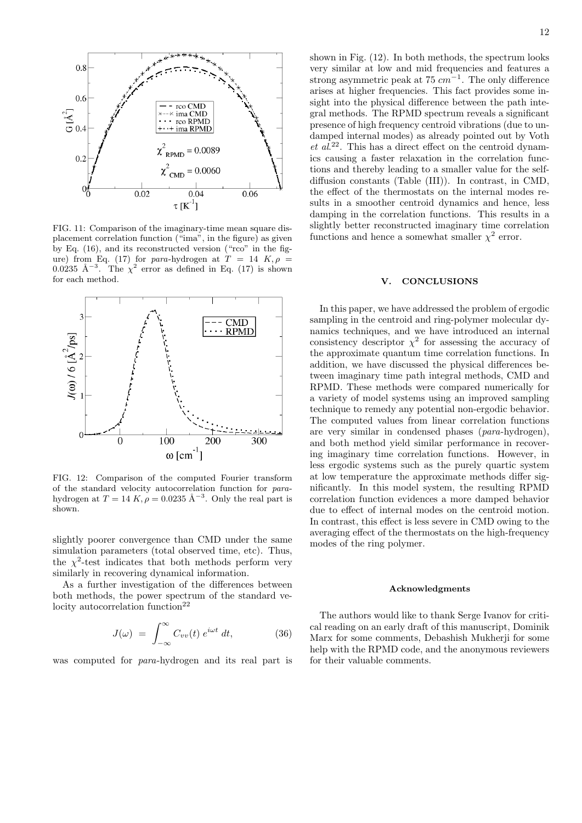

FIG. 11: Comparison of the imaginary-time mean square displacement correlation function ("ima", in the figure) as given by Eq. (16), and its reconstructed version ("rco" in the figure) from Eq. (17) for para-hydrogen at  $T = 14$  K,  $\rho =$ 0.0235 Å<sup>-3</sup>. The  $\chi^2$  error as defined in Eq. (17) is shown for each method.



FIG. 12: Comparison of the computed Fourier transform of the standard velocity autocorrelation function for parahydrogen at  $T = 14 K$ ,  $\rho = 0.0235 \text{ Å}^{-3}$ . Only the real part is shown.

slightly poorer convergence than CMD under the same simulation parameters (total observed time, etc). Thus, the  $\chi^2$ -test indicates that both methods perform very similarly in recovering dynamical information.

As a further investigation of the differences between both methods, the power spectrum of the standard ve $locity$  autocorrelation function<sup>22</sup>

$$
J(\omega) = \int_{-\infty}^{\infty} C_{vv}(t) e^{i\omega t} dt,
$$
 (36)

was computed for para-hydrogen and its real part is

shown in Fig. (12). In both methods, the spectrum looks very similar at low and mid frequencies and features a strong asymmetric peak at  $75$   $cm^{-1}$ . The only difference arises at higher frequencies. This fact provides some insight into the physical difference between the path integral methods. The RPMD spectrum reveals a significant presence of high frequency centroid vibrations (due to undamped internal modes) as already pointed out by Voth  $et\ al.<sup>22</sup>$ . This has a direct effect on the centroid dynamics causing a faster relaxation in the correlation functions and thereby leading to a smaller value for the selfdiffusion constants (Table (III)). In contrast, in CMD, the effect of the thermostats on the internal modes results in a smoother centroid dynamics and hence, less damping in the correlation functions. This results in a slightly better reconstructed imaginary time correlation functions and hence a somewhat smaller  $\chi^2$  error.

### V. CONCLUSIONS

In this paper, we have addressed the problem of ergodic sampling in the centroid and ring-polymer molecular dynamics techniques, and we have introduced an internal consistency descriptor  $\chi^2$  for assessing the accuracy of the approximate quantum time correlation functions. In addition, we have discussed the physical differences between imaginary time path integral methods, CMD and RPMD. These methods were compared numerically for a variety of model systems using an improved sampling technique to remedy any potential non-ergodic behavior. The computed values from linear correlation functions are very similar in condensed phases (para-hydrogen), and both method yield similar performance in recovering imaginary time correlation functions. However, in less ergodic systems such as the purely quartic system at low temperature the approximate methods differ significantly. In this model system, the resulting RPMD correlation function evidences a more damped behavior due to effect of internal modes on the centroid motion. In contrast, this effect is less severe in CMD owing to the averaging effect of the thermostats on the high-frequency modes of the ring polymer.

# Acknowledgments

The authors would like to thank Serge Ivanov for critical reading on an early draft of this manuscript, Dominik Marx for some comments, Debashish Mukherji for some help with the RPMD code, and the anonymous reviewers for their valuable comments.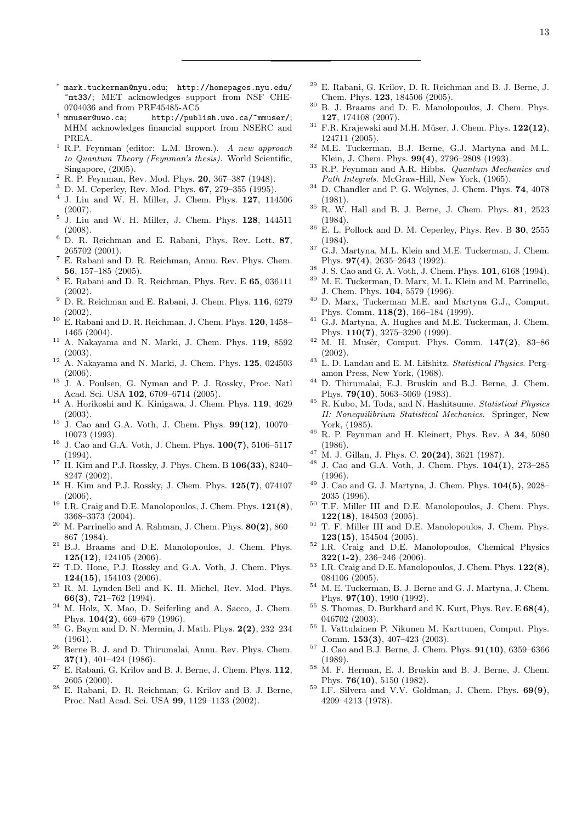- ∗ mark.tuckerman@nyu.edu; http://homepages.nyu.edu/ ~mt33/; MET acknowledges support from NSF CHE-0704036 and from PRF45485-AC5
- <sup>†</sup> mmuser@uwo.ca; http://publish.uwo.ca/~mmuser/; MHM acknowledges financial support from NSERC and PREA.
- <sup>1</sup> R.P. Feynman (editor: L.M. Brown.). A new approach to Quantum Theory (Feynman's thesis). World Scientific, Singapore, (2005).
- $2$  R. P. Feynman, Rev. Mod. Phys. 20, 367–387 (1948).
- <sup>3</sup> D. M. Ceperley, Rev. Mod. Phys. 67, 279–355 (1995).
- 4 J. Liu and W. H. Miller, J. Chem. Phys. 127, 114506 (2007).
- 5 J. Liu and W. H. Miller, J. Chem. Phys. 128, 144511 (2008).
- <sup>6</sup> D. R. Reichman and E. Rabani, Phys. Rev. Lett. 87, 265702 (2001).
- <sup>7</sup> E. Rabani and D. R. Reichman, Annu. Rev. Phys. Chem. 56, 157–185 (2005).
- $^8$  E. Rabani and D. R. Reichman, Phys. Rev. E $\bf{65}, \, 036111$ (2002).
- $9$  D. R. Reichman and E. Rabani, J. Chem. Phys. 116, 6279 (2002).
- $^{10}\,$  E. Rabani and D. R. Reichman, J. Chem. Phys. 120, 1458– 1465 (2004).
- <sup>11</sup> A. Nakayama and N. Marki, J. Chem. Phys. 119, 8592 (2003).
- $12$  A. Nakayama and N. Marki, J. Chem. Phys. 125, 024503 (2006).
- <sup>13</sup> J. A. Poulsen, G. Nyman and P. J. Rossky, Proc. Natl Acad. Sci. USA 102, 6709–6714 (2005).
- <sup>14</sup> A. Horikoshi and K. Kinigawa, J. Chem. Phys. 119, 4629 (2003).
- $15$  J. Cao and G.A. Voth, J. Chem. Phys. 99(12), 10070– 10073 (1993).
- <sup>16</sup> J. Cao and G.A. Voth, J. Chem. Phys.  $100(7)$ , 5106–5117 (1994).
- $17$  H. Kim and P.J. Rossky, J. Phys. Chem. B  $106(33)$ , 8240– 8247 (2002).
- <sup>18</sup> H. Kim and P.J. Rossky, J. Chem. Phys. 125(7), 074107 (2006).
- <sup>19</sup> I.R. Craig and D.E. Manolopoulos, J. Chem. Phys.  $121(8)$ , 3368–3373 (2004).
- $20$  M. Parrinello and A. Rahman, J. Chem. Phys.  $80(2)$ ,  $860-$ 867 (1984).
- <sup>21</sup> B.J. Braams and D.E. Manolopoulos, J. Chem. Phys. 125(12), 124105 (2006).
- <sup>22</sup> T.D. Hone, P.J. Rossky and G.A. Voth, J. Chem. Phys. 124(15), 154103 (2006).
- <sup>23</sup> R. M. Lynden-Bell and K. H. Michel, Rev. Mod. Phys. 66(3), 721–762 (1994).
- <sup>24</sup> M. Holz, X. Mao, D. Seiferling and A. Sacco, J. Chem. Phys. 104(2), 669–679 (1996).
- <sup>25</sup> G. Baym and D. N. Mermin, J. Math. Phys.  $2(2)$ , 232–234 (1961).
- <sup>26</sup> Berne B. J. and D. Thirumalai, Annu. Rev. Phys. Chem. 37(1), 401–424 (1986).
- $27$  E. Rabani, G. Krilov and B. J. Berne, J. Chem. Phys. 112, 2605 (2000).
- <sup>28</sup> E. Rabani, D. R. Reichman, G. Krilov and B. J. Berne, Proc. Natl Acad. Sci. USA 99, 1129–1133 (2002).
- <sup>29</sup> E. Rabani, G. Krilov, D. R. Reichman and B. J. Berne, J. Chem. Phys. 123, 184506 (2005).
- <sup>30</sup> B. J. Braams and D. E. Manolopoulos, J. Chem. Phys. 127, 174108 (2007).
- $31$  F.R. Krajewski and M.H. Müser, J. Chem. Phys.  $122(12)$ , 124711 (2005).
- $32$  M.E. Tuckerman, B.J. Berne, G.J. Martyna and M.L. Klein, J. Chem. Phys. 99(4), 2796–2808 (1993).
- <sup>33</sup> R.P. Feynman and A.R. Hibbs. Quantum Mechanics and Path Integrals. McGraw-Hill, New York, (1965).
- <sup>34</sup> D. Chandler and P. G. Wolynes, J. Chem. Phys. **74**, 4078 (1981).
- $35$  R. W. Hall and B. J. Berne, J. Chem. Phys. 81, 2523 (1984).
- <sup>36</sup> E. L. Pollock and D. M. Ceperley, Phys. Rev. B 30, 2555 (1984).
- <sup>37</sup> G.J. Martyna, M.L. Klein and M.E. Tuckerman, J. Chem. Phys. 97(4), 2635–2643 (1992).
- <sup>38</sup> J. S. Cao and G. A. Voth, J. Chem. Phys. 101, 6168 (1994).
- M. E. Tuckerman, D. Marx, M. L. Klein and M. Parrinello, J. Chem. Phys. 104, 5579 (1996).
- <sup>40</sup> D. Marx, Tuckerman M.E. and Martyna G.J., Comput. Phys. Comm. 118(2), 166–184 (1999).
- <sup>41</sup> G.J. Martyna, A. Hughes and M.E. Tuckerman, J. Chem. Phys. 110(7), 3275–3290 (1999).
- <sup>42</sup> M. H. Musër, Comput. Phys. Comm. 147(2), 83-86 (2002).
- $^{43}$  L. D. Landau and E. M. Lifshitz. *Statistical Physics*. Pergamon Press, New York, (1968).
- <sup>44</sup> D. Thirumalai, E.J. Bruskin and B.J. Berne, J. Chem. Phys. 79(10), 5063–5069 (1983).
- <sup>45</sup> R. Kubo, M. Toda, and N. Hashitsume. Statistical Physics II: Nonequilibrium Statistical Mechanics. Springer, New York, (1985).
- <sup>46</sup> R. P. Feynman and H. Kleinert, Phys. Rev. A 34, 5080 (1986).
- $47$  M. J. Gillan, J. Phys. C. 20(24), 3621 (1987).
- <sup>48</sup> J. Cao and G.A. Voth, J. Chem. Phys. 104(1), 273–285 (1996).
- <sup>49</sup> J. Cao and G. J. Martyna, J. Chem. Phys. 104(5), 2028– 2035 (1996).
- <sup>50</sup> T.F. Miller III and D.E. Manolopoulos, J. Chem. Phys. 122(18), 184503 (2005).
- <sup>51</sup> T. F. Miller III and D.E. Manolopoulos, J. Chem. Phys.  $123(15)$ , 154504 (2005).
- <sup>52</sup> I.R. Craig and D.E. Manolopoulos, Chemical Physics  $322(1-2), 236-246 (2006).$
- <sup>53</sup> I.R. Craig and D.E. Manolopoulos, J. Chem. Phys. 122(8), 084106 (2005).
- <sup>54</sup> M. E. Tuckerman, B. J. Berne and G. J. Martyna, J. Chem. Phys. 97(10), 1990 (1992).
- $55$  S. Thomas, D. Burkhard and K. Kurt, Phys. Rev. E  $68(4)$ , 046702 (2003).
- <sup>56</sup> I. Vattulainen P. Nikunen M. Karttunen, Comput. Phys. Comm. 153(3), 407–423 (2003).
- $57$  J. Cao and B.J. Berne, J. Chem. Phys.  $91(10)$ , 6359–6366 (1989).
- <sup>58</sup> M. F. Herman, E. J. Bruskin and B. J. Berne, J. Chem. Phys. 76(10), 5150 (1982).
- <sup>59</sup> I.F. Silvera and V.V. Goldman, J. Chem. Phys. 69(9), 4209–4213 (1978).